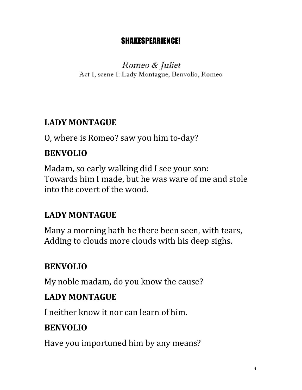#### SHAKESPEARIENCE!

Romeo & Juliet Act 1, scene 1: Lady Montague, Benvolio, Romeo

### **LADY MONTAGUE**

O, where is Romeo? saw you him to-day?

## **BENVOLIO**

Madam, so early walking did I see your son: Towards him I made, but he was ware of me and stole into the covert of the wood.

## **LADY MONTAGUE**

Many a morning hath he there been seen, with tears, Adding to clouds more clouds with his deep sighs.

## **BENVOLIO**

My noble madam, do you know the cause?

### **LADY MONTAGUE**

I neither know it nor can learn of him.

## **BENVOLIO**

Have you importuned him by any means?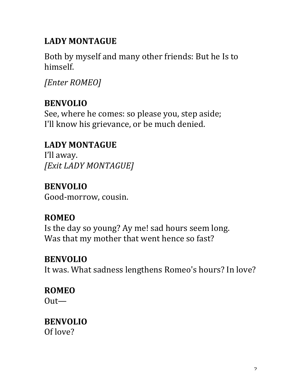#### **LADY MONTAGUE**

Both by myself and many other friends: But he Is to himself. 

*[Enter ROMEO]*

## **BENVOLIO**

See, where he comes: so please you, step aside; I'll know his grievance, or be much denied.

## **LADY MONTAGUE**

I'll away. *[Exit LADY MONTAGUE]*

## **BENVOLIO**

Good-morrow, cousin.

## **ROMEO**

Is the day so young? Ay me! sad hours seem long. Was that my mother that went hence so fast?

#### **BENVOLIO**

It was. What sadness lengthens Romeo's hours? In love?

### **ROMEO**

Out—

# **BENVOLIO**

Of love?